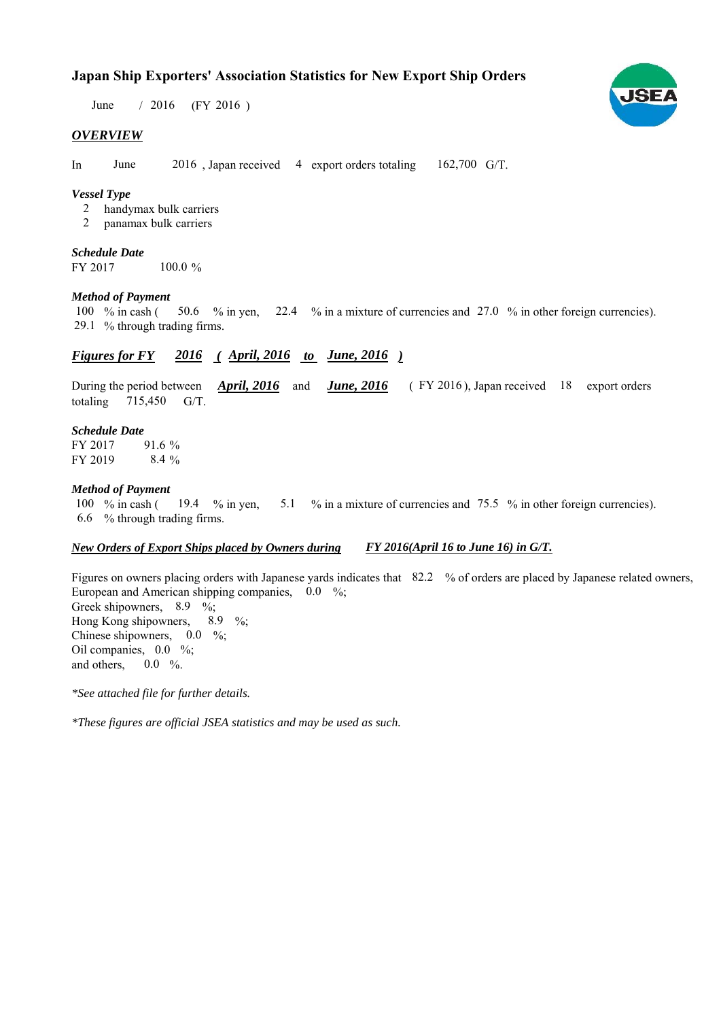### **Japan Ship Exporters' Association Statistics for New Export Ship Orders**

June / 2016 (FY 2016)

#### *OVERVIEW*

In June  $2016$ , Japan received 4 export orders totaling  $162,700$  G/T.

#### *Vessel Type*

- handymax bulk carriers 2
- panamax bulk carriers 2

## *Schedule Date*

FY 2017 100.0 %

#### *Method of Payment*

% in cash ( $\frac{50.6}{8}$  in yen,  $\frac{22.4}{8}$  in a mixture of currencies and 27.0 % in other foreign currencies). % through trading firms. 29.1 100  $%$  in cash (

#### *Figures for FY* 2016 (*April, 2016 to June, 2016* )

During the period between *April, 2016* and *June, 2016* (FY 2016), Japan received 18 export orders totaling  $715,450$  G/T.

#### *Schedule Date*

FY 2017 FY 2019 91.6 % 8.4 %

#### *Method of Payment*

% in cash ( $\frac{19.4}{8}$  in yen,  $\frac{5.1}{8}$  % in a mixture of currencies and 75.5 % in other foreign currencies). % through trading firms. 6.6 100  $\%$  in cash (19.4  $\%$  in yen,

#### *New Orders of Export Ships placed by Owners during FY 2016(April 16 to June 16) in G/T.*

Figures on owners placing orders with Japanese yards indicates that 82.2 % of orders are placed by Japanese related owners, European and American shipping companies,  $0.0\%$ ; Greek shipowners,  $8.9 \%$ ; Hong Kong shipowners,  $8.9\%$ ; Chinese shipowners,  $0.0\%$ ; Oil companies,  $0.0\%$ ; and others,  $0.0\%$ . 8.9

*\*See attached file for further details.*

*\*These figures are official JSEA statistics and may be used as such.*

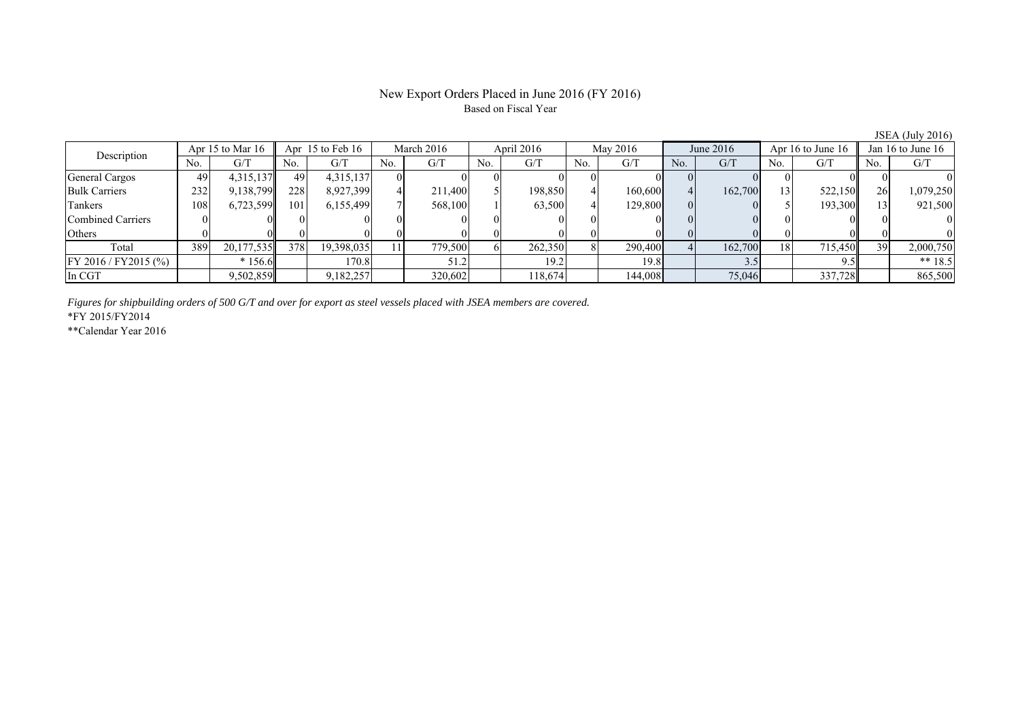#### New Export Orders Placed in June 2016 (FY 2016) Based on Fiscal Year

|                          |                    |            |                      |            |            |         |            |         |          |         |             |         |                   |         |                   | $\frac{1}{2}$ $\frac{1}{2}$ $\frac{1}{2}$ $\frac{1}{2}$ $\frac{1}{2}$ $\frac{1}{2}$ $\frac{1}{2}$ $\frac{1}{2}$ $\frac{1}{2}$ $\frac{1}{2}$ $\frac{1}{2}$ $\frac{1}{2}$ $\frac{1}{2}$ $\frac{1}{2}$ $\frac{1}{2}$ $\frac{1}{2}$ $\frac{1}{2}$ $\frac{1}{2}$ $\frac{1}{2}$ $\frac{1}{2}$ $\frac{1}{2}$ $\frac{1}{2}$ |
|--------------------------|--------------------|------------|----------------------|------------|------------|---------|------------|---------|----------|---------|-------------|---------|-------------------|---------|-------------------|---------------------------------------------------------------------------------------------------------------------------------------------------------------------------------------------------------------------------------------------------------------------------------------------------------------------|
| Description              | Apr 15 to Mar $16$ |            | Apr $15$ to Feb $16$ |            | March 2016 |         | April 2016 |         | May 2016 |         | June $2016$ |         | Apr 16 to June 16 |         | Jan 16 to June 16 |                                                                                                                                                                                                                                                                                                                     |
|                          | N0.                | G/T        | N0.                  | G/T        | No.        | G/T     | No.        | G/T     | No.      | G/T     | No.         | G/T     | No.               | G/T     | No.               | G/T                                                                                                                                                                                                                                                                                                                 |
| General Cargos           | 49                 | 4,315,137  | 49                   | 4,315,137  |            |         |            |         |          |         |             |         |                   |         |                   |                                                                                                                                                                                                                                                                                                                     |
| <b>Bulk Carriers</b>     | 232                | 9,138,799  | 228                  | 8,927,399  |            | 211,400 |            | 198,850 |          | 160,600 |             | 162,700 |                   | 522,150 | <b>26</b>         | 1,079,250                                                                                                                                                                                                                                                                                                           |
| Tankers                  | 108                | 6,723,599  | 101                  | 6,155,499  |            | 568,100 |            | 63,500  |          | 129,800 |             |         |                   | 193,300 |                   | 921,500                                                                                                                                                                                                                                                                                                             |
| <b>Combined Carriers</b> |                    |            |                      |            |            |         |            |         |          |         |             |         |                   |         |                   |                                                                                                                                                                                                                                                                                                                     |
| Others                   |                    |            |                      |            |            |         |            |         |          |         |             |         |                   |         |                   |                                                                                                                                                                                                                                                                                                                     |
| Total                    | 389                | 20,177,535 | 378                  | 19,398,035 |            | 779,500 |            | 262,350 |          | 290,400 |             | 162,700 |                   | 715,450 | 39                | 2,000,750                                                                                                                                                                                                                                                                                                           |
| FY 2016 / FY 2015 (%)    |                    | $*156.6$   |                      | 170.8      |            |         |            | 19.2    |          | 19.8    |             |         |                   |         |                   | ** $18.5$                                                                                                                                                                                                                                                                                                           |
| In CGT                   |                    | 9,502,859  |                      | 9,182,257  |            | 320,602 |            | 118,674 |          | 144,008 |             | 75,046  |                   | 337,728 |                   | 865,500                                                                                                                                                                                                                                                                                                             |

*Figures for shipbuilding orders of 500 G/T and over for export as steel vessels placed with JSEA members are covered.*

\*FY 2015/FY2014

\*\*Calendar Year 2016

JSEA (July 2016)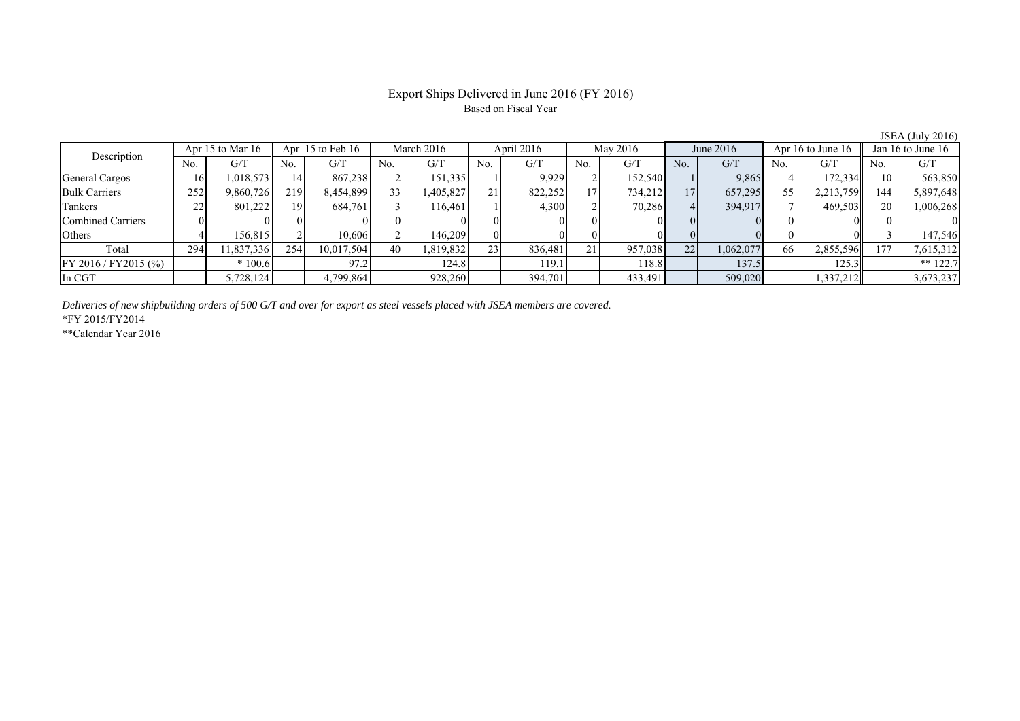#### Export Ships Delivered in June 2016 (FY 2016) Based on Fiscal Year

| Description             | Apr 15 to Mar $16$ |            | Apr $15$ to Feb $16$ |            | March 2016      |          | April 2016 |         | May 2016 |         | June 2016 |           | Apr 16 to June $16$ |           | Jan 16 to June $16$ |            |
|-------------------------|--------------------|------------|----------------------|------------|-----------------|----------|------------|---------|----------|---------|-----------|-----------|---------------------|-----------|---------------------|------------|
|                         | No.                | G/T        | No.                  | G/T        | No.             | G/T      | No.        | G/T     | No.      | G/T     | No.       | G/T       | No.                 | G/T       | No.                 | G/T        |
| General Cargos          | 16                 | 1,018,573  | 14                   | 867,238    |                 | 151,335  |            | 9,929   |          | 152,540 |           | 9,865     |                     | 172,334   |                     | 563,850    |
| <b>Bulk Carriers</b>    | 252                | 9,860,726  | 219                  | 8,454,899  | 33 <sub>1</sub> | .405,827 | 21         | 822,252 | 17       | 734,212 | 17        | 657,295   | 55                  | 2,213,759 | 144                 | 5,897,648  |
| Tankers                 | 22                 | 801,222    | 191                  | 684,761    |                 | 116.461  |            | 4,300   |          | 70,286  |           | 394,917   |                     | 469,503   | 20                  | 1,006,268  |
| Combined Carriers       |                    |            |                      |            |                 |          |            |         |          |         |           |           |                     |           |                     |            |
| Others                  |                    | 156.815    |                      | 10,606     |                 | 146,209  |            |         |          |         |           |           |                     |           |                     | 147,546    |
| Total                   | 294                | 11,837,336 | 254                  | 10,017,504 | 40              | ,819,832 | 23         | 836,481 | 21       | 957,038 | 22        | 1,062,077 | 66                  | 2,855,596 | .71                 | 7,615,312  |
| $FY 2016 / FY 2015$ (%) |                    | $*100.6$   |                      | 97.2       |                 | 124.8    |            | 119.1   |          | 118.8   |           | 137.5     |                     | 125.3     |                     | ** $122.7$ |
| In CGT                  |                    | 5,728,124  |                      | 4,799,864  |                 | 928,260  |            | 394,701 |          | 433,491 |           | 509,020   |                     | 1,337,212 |                     | 3,673,237  |

*Deliveries of new shipbuilding orders of 500 G/T and over for export as steel vessels placed with JSEA members are covered.*

\*FY 2015/FY2014

\*\*Calendar Year 2016

JSEA (July 2016)